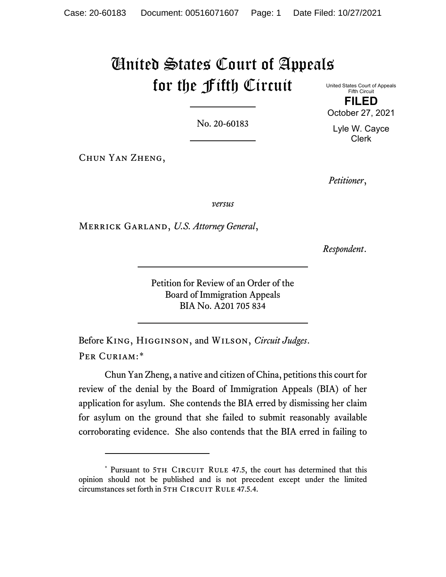# United States Court of Appeals for the Fifth Circuit United States Court of Appeals

No. 20-60183

Chun Yan Zheng,

*Petitioner*,

*versus*

Merrick Garland, *U.S. Attorney General*,

*Respondent*.

Petition for Review of an Order of the Board of Immigration Appeals BIA No. A201 705 834

Before King, Higginson, and Wilson, *Circuit Judges*. PER CURIAM:[\\*](#page-0-0)

Chun Yan Zheng, a native and citizen of China, petitions this court for review of the denial by the Board of Immigration Appeals (BIA) of her application for asylum. She contends the BIA erred by dismissing her claim for asylum on the ground that she failed to submit reasonably available corroborating evidence. She also contends that the BIA erred in failing to

Fifth Circuit **FILED** October 27, 2021

Lyle W. Cayce Clerk

<span id="page-0-0"></span><sup>\*</sup> Pursuant to 5TH CIRCUIT RULE 47.5, the court has determined that this opinion should not be published and is not precedent except under the limited circumstances set forth in 5TH CIRCUIT RULE 47.5.4.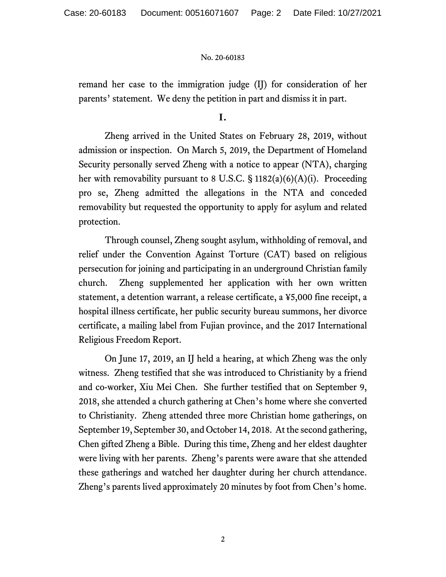remand her case to the immigration judge (IJ) for consideration of her parents' statement. We deny the petition in part and dismiss it in part.

**I.**

Zheng arrived in the United States on February 28, 2019, without admission or inspection. On March 5, 2019, the Department of Homeland Security personally served Zheng with a notice to appear (NTA), charging her with removability pursuant to 8 U.S.C. § 1182(a)(6)(A)(i). Proceeding pro se, Zheng admitted the allegations in the NTA and conceded removability but requested the opportunity to apply for asylum and related protection.

Through counsel, Zheng sought asylum, withholding of removal, and relief under the Convention Against Torture (CAT) based on religious persecution for joining and participating in an underground Christian family church. Zheng supplemented her application with her own written statement, a detention warrant, a release certificate, a ¥5,000 fine receipt, a hospital illness certificate, her public security bureau summons, her divorce certificate, a mailing label from Fujian province, and the 2017 International Religious Freedom Report.

On June 17, 2019, an IJ held a hearing, at which Zheng was the only witness. Zheng testified that she was introduced to Christianity by a friend and co-worker, Xiu Mei Chen. She further testified that on September 9, 2018, she attended a church gathering at Chen's home where she converted to Christianity. Zheng attended three more Christian home gatherings, on September 19, September 30, and October 14, 2018. At the second gathering, Chen gifted Zheng a Bible. During this time, Zheng and her eldest daughter were living with her parents. Zheng's parents were aware that she attended these gatherings and watched her daughter during her church attendance. Zheng's parents lived approximately 20 minutes by foot from Chen's home.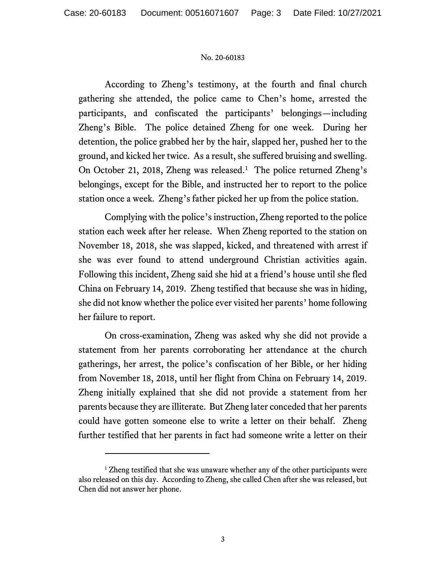According to Zheng's testimony, at the fourth and final church gathering she attended, the police came to Chen's home, arrested the participants, and confiscated the participants' belongings—including Zheng's Bible. The police detained Zheng for one week. During her detention, the police grabbed her by the hair, slapped her, pushed her to the ground, and kicked her twice. As a result, she suffered bruising and swelling. On October 2[1](#page-2-0), 2018, Zheng was released.<sup>1</sup> The police returned Zheng's belongings, except for the Bible, and instructed her to report to the police station once a week. Zheng's father picked her up from the police station.

Complying with the police's instruction, Zheng reported to the police station each week after her release. When Zheng reported to the station on November 18, 2018, she was slapped, kicked, and threatened with arrest if she was ever found to attend underground Christian activities again. Following this incident, Zheng said she hid at a friend's house until she fled China on February 14, 2019. Zheng testified that because she was in hiding, she did not know whether the police ever visited her parents' home following her failure to report.

On cross-examination, Zheng was asked why she did not provide a statement from her parents corroborating her attendance at the church gatherings, her arrest, the police's confiscation of her Bible, or her hiding from November 18, 2018, until her flight from China on February 14, 2019. Zheng initially explained that she did not provide a statement from her parents because they are illiterate. But Zheng later conceded that her parents could have gotten someone else to write a letter on their behalf. Zheng further testified that her parents in fact had someone write a letter on their

<span id="page-2-0"></span><sup>&</sup>lt;sup>1</sup> Zheng testified that she was unaware whether any of the other participants were also released on this day. According to Zheng, she called Chen after she was released, but Chen did not answer her phone.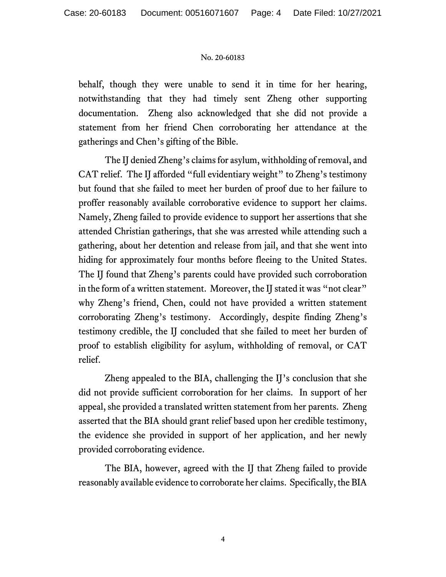behalf, though they were unable to send it in time for her hearing, notwithstanding that they had timely sent Zheng other supporting documentation. Zheng also acknowledged that she did not provide a statement from her friend Chen corroborating her attendance at the gatherings and Chen's gifting of the Bible.

The IJ denied Zheng's claims for asylum, withholding of removal, and CAT relief. The IJ afforded "full evidentiary weight" to Zheng's testimony but found that she failed to meet her burden of proof due to her failure to proffer reasonably available corroborative evidence to support her claims. Namely, Zheng failed to provide evidence to support her assertions that she attended Christian gatherings, that she was arrested while attending such a gathering, about her detention and release from jail, and that she went into hiding for approximately four months before fleeing to the United States. The IJ found that Zheng's parents could have provided such corroboration in the form of a written statement. Moreover, the IJ stated it was "not clear" why Zheng's friend, Chen, could not have provided a written statement corroborating Zheng's testimony. Accordingly, despite finding Zheng's testimony credible, the IJ concluded that she failed to meet her burden of proof to establish eligibility for asylum, withholding of removal, or CAT relief.

Zheng appealed to the BIA, challenging the IJ's conclusion that she did not provide sufficient corroboration for her claims. In support of her appeal, she provided a translated written statement from her parents. Zheng asserted that the BIA should grant relief based upon her credible testimony, the evidence she provided in support of her application, and her newly provided corroborating evidence.

The BIA, however, agreed with the IJ that Zheng failed to provide reasonably available evidence to corroborate her claims. Specifically, the BIA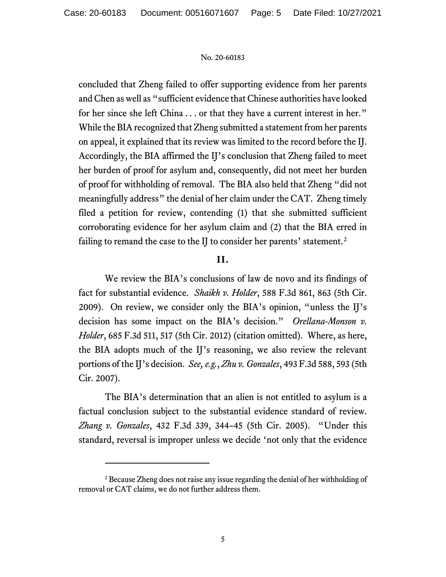concluded that Zheng failed to offer supporting evidence from her parents and Chen as well as "sufficient evidence that Chinese authorities have looked for her since she left China . . . or that they have a current interest in her." While the BIA recognized that Zheng submitted a statement from her parents on appeal, it explained that its review was limited to the record before the IJ. Accordingly, the BIA affirmed the IJ's conclusion that Zheng failed to meet her burden of proof for asylum and, consequently, did not meet her burden of proof for withholding of removal. The BIA also held that Zheng "did not meaningfully address" the denial of her claim under the CAT. Zheng timely filed a petition for review, contending (1) that she submitted sufficient corroborating evidence for her asylum claim and (2) that the BIA erred in failing to remand the case to the IJ to consider her parents' statement.<sup>[2](#page-4-0)</sup>

# **II.**

We review the BIA's conclusions of law de novo and its findings of fact for substantial evidence. *Shaikh v. Holder*, 588 F.3d 861, 863 (5th Cir. 2009). On review, we consider only the BIA's opinion, "unless the IJ's decision has some impact on the BIA's decision." *Orellana-Monson v. Holder*, 685 F.3d 511, 517 (5th Cir. 2012) (citation omitted). Where, as here, the BIA adopts much of the IJ's reasoning, we also review the relevant portions of the IJ's decision. *See, e.g.*, *Zhu v. Gonzales*, 493 F.3d 588, 593 (5th Cir. 2007).

The BIA's determination that an alien is not entitled to asylum is a factual conclusion subject to the substantial evidence standard of review. *Zhang v. Gonzales*, 432 F.3d 339, 344–45 (5th Cir. 2005). "Under this standard, reversal is improper unless we decide 'not only that the evidence

<span id="page-4-0"></span><sup>&</sup>lt;sup>2</sup> Because Zheng does not raise any issue regarding the denial of her withholding of removal or CAT claims, we do not further address them.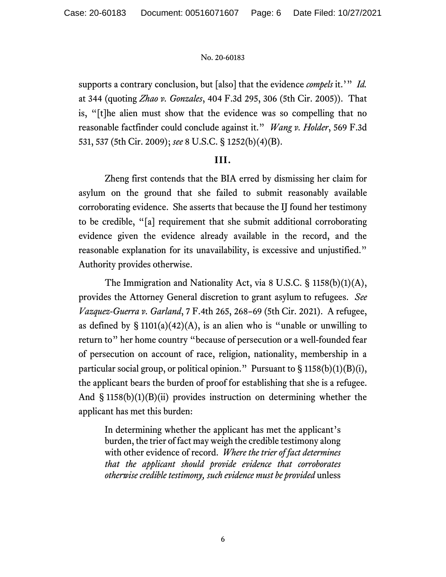supports a contrary conclusion, but [also] that the evidence *compels* it.'" *Id.* at 344 (quoting *Zhao v. Gonzales*, 404 F.3d 295, 306 (5th Cir. 2005)). That is, "[t]he alien must show that the evidence was so compelling that no reasonable factfinder could conclude against it." *Wang v. Holder*, 569 F.3d 531, 537 (5th Cir. 2009); *see* 8 U.S.C. § 1252(b)(4)(B).

# **III.**

Zheng first contends that the BIA erred by dismissing her claim for asylum on the ground that she failed to submit reasonably available corroborating evidence. She asserts that because the IJ found her testimony to be credible, "[a] requirement that she submit additional corroborating evidence given the evidence already available in the record, and the reasonable explanation for its unavailability, is excessive and unjustified." Authority provides otherwise.

The Immigration and Nationality Act, via 8 U.S.C. § 1158(b)(1)(A), provides the Attorney General discretion to grant asylum to refugees. *See Vazquez-Guerra v. Garland*, 7 F.4th 265, 268–69 (5th Cir. 2021). A refugee, as defined by  $\S 1101(a)(42)(A)$ , is an alien who is "unable or unwilling to return to" her home country "because of persecution or a well-founded fear of persecution on account of race, religion, nationality, membership in a particular social group, or political opinion." Pursuant to  $\S 1158(b)(1)(B)(i)$ , the applicant bears the burden of proof for establishing that she is a refugee. And  $\S$  1158(b)(1)(B)(ii) provides instruction on determining whether the applicant has met this burden:

In determining whether the applicant has met the applicant's burden, the trier of fact may weigh the credible testimony along with other evidence of record. *Where the trier of fact determines that the applicant should provide evidence that corroborates otherwise credible testimony, such evidence must be provided* unless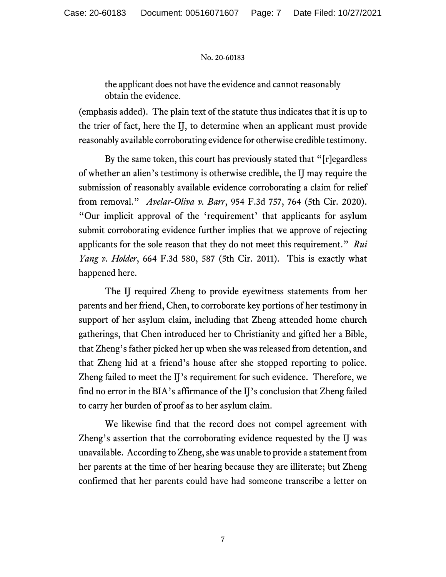the applicant does not have the evidence and cannot reasonably obtain the evidence.

(emphasis added). The plain text of the statute thus indicates that it is up to the trier of fact, here the IJ, to determine when an applicant must provide reasonably available corroborating evidence for otherwise credible testimony.

By the same token, this court has previously stated that "[r]egardless of whether an alien's testimony is otherwise credible, the IJ may require the submission of reasonably available evidence corroborating a claim for relief from removal." *Avelar-Oliva v. Barr*, 954 F.3d 757, 764 (5th Cir. 2020). "Our implicit approval of the 'requirement' that applicants for asylum submit corroborating evidence further implies that we approve of rejecting applicants for the sole reason that they do not meet this requirement." *Rui Yang v. Holder*, 664 F.3d 580, 587 (5th Cir. 2011). This is exactly what happened here.

The IJ required Zheng to provide eyewitness statements from her parents and her friend, Chen, to corroborate key portions of her testimony in support of her asylum claim, including that Zheng attended home church gatherings, that Chen introduced her to Christianity and gifted her a Bible, that Zheng's father picked her up when she was released from detention, and that Zheng hid at a friend's house after she stopped reporting to police. Zheng failed to meet the IJ's requirement for such evidence. Therefore, we find no error in the BIA's affirmance of the IJ's conclusion that Zheng failed to carry her burden of proof as to her asylum claim.

We likewise find that the record does not compel agreement with Zheng's assertion that the corroborating evidence requested by the IJ was unavailable. According to Zheng, she was unable to provide a statement from her parents at the time of her hearing because they are illiterate; but Zheng confirmed that her parents could have had someone transcribe a letter on